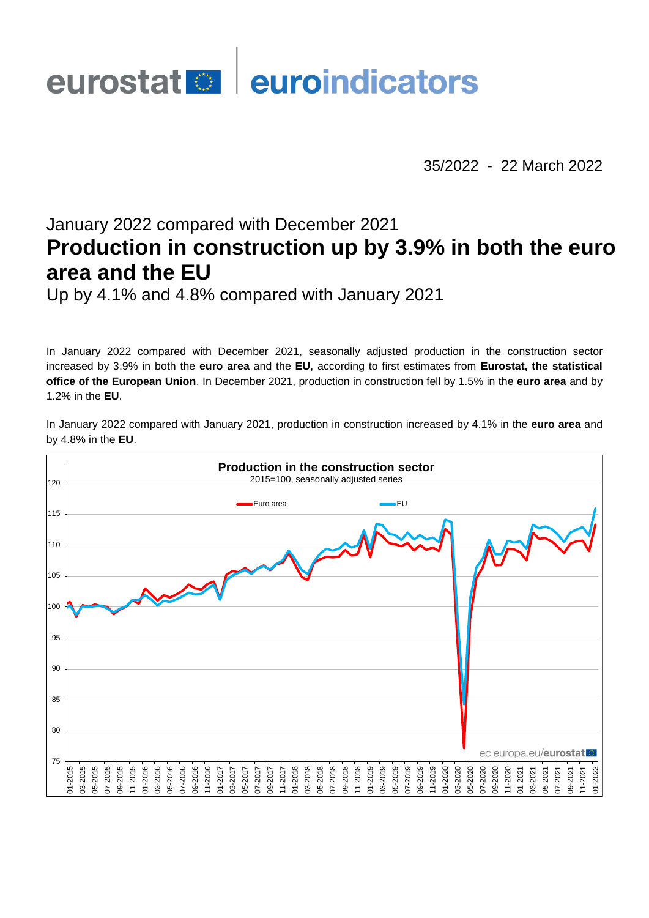# eurostat **en la euroindicators**

35/2022 - 22 March 2022

# January 2022 compared with December 2021 **Production in construction up by 3.9% in both the euro area and the EU**

Up by 4.1% and 4.8% compared with January 2021

In January 2022 compared with December 2021, seasonally adjusted production in the construction sector increased by 3.9% in both the **euro area** and the **EU**, according to first estimates from **Eurostat, the statistical office of the European Union**. In December 2021, production in construction fell by 1.5% in the **euro area** and by 1.2% in the **EU**.

In January 2022 compared with January 2021, production in construction increased by 4.1% in the **euro area** and by 4.8% in the **EU**.

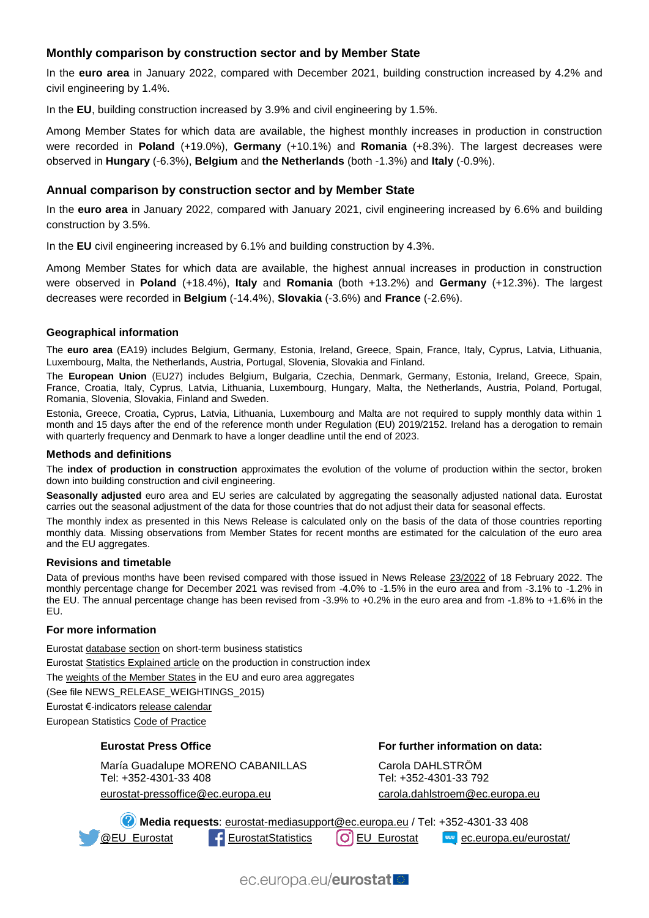## **Monthly comparison by construction sector and by Member State**

In the **euro area** in January 2022, compared with December 2021, building construction increased by 4.2% and civil engineering by 1.4%.

In the **EU**, building construction increased by 3.9% and civil engineering by 1.5%.

Among Member States for which data are available, the highest monthly increases in production in construction were recorded in **Poland** (+19.0%), **Germany** (+10.1%) and **Romania** (+8.3%). The largest decreases were observed in **Hungary** (-6.3%), **Belgium** and **the Netherlands** (both -1.3%) and **Italy** (-0.9%).

#### **Annual comparison by construction sector and by Member State**

In the **euro area** in January 2022, compared with January 2021, civil engineering increased by 6.6% and building construction by 3.5%.

In the **EU** civil engineering increased by 6.1% and building construction by 4.3%.

Among Member States for which data are available, the highest annual increases in production in construction were observed in **Poland** (+18.4%), **Italy** and **Romania** (both +13.2%) and **Germany** (+12.3%). The largest decreases were recorded in **Belgium** (-14.4%), **Slovakia** (-3.6%) and **France** (-2.6%).

#### **Geographical information**

The **euro area** (EA19) includes Belgium, Germany, Estonia, Ireland, Greece, Spain, France, Italy, Cyprus, Latvia, Lithuania, Luxembourg, Malta, the Netherlands, Austria, Portugal, Slovenia, Slovakia and Finland.

The **European Union** (EU27) includes Belgium, Bulgaria, Czechia, Denmark, Germany, Estonia, Ireland, Greece, Spain, France, Croatia, Italy, Cyprus, Latvia, Lithuania, Luxembourg, Hungary, Malta, the Netherlands, Austria, Poland, Portugal, Romania, Slovenia, Slovakia, Finland and Sweden.

Estonia, Greece, Croatia, Cyprus, Latvia, Lithuania, Luxembourg and Malta are not required to supply monthly data within 1 month and 15 days after the end of the reference month under Regulation (EU) 2019/2152. Ireland has a derogation to remain with quarterly frequency and Denmark to have a longer deadline until the end of 2023.

#### **Methods and definitions**

The **index of production in construction** approximates the evolution of the volume of production within the sector, broken down into building construction and civil engineering.

**Seasonally adjusted** euro area and EU series are calculated by aggregating the seasonally adjusted national data. Eurostat carries out the seasonal adjustment of the data for those countries that do not adjust their data for seasonal effects.

The monthly index as presented in this News Release is calculated only on the basis of the data of those countries reporting monthly data. Missing observations from Member States for recent months are estimated for the calculation of the euro area and the EU aggregates.

#### **Revisions and timetable**

Data of previous months have been revised compared with those issued in News Release [23/2022](https://ec.europa.eu/eurostat/documents/2995521/14245724/4-18022022-AP-EN.pdf/49a0a149-bd66-3ed3-1cdb-2f76eebf1cb4?t=1645176055329) of 18 February 2022. The monthly percentage change for December 2021 was revised from -4.0% to -1.5% in the euro area and from -3.1% to -1.2% in the EU. The annual percentage change has been revised from -3.9% to +0.2% in the euro area and from -1.8% to +1.6% in the EU.

#### **For more information**

Eurosta[t database section](https://ec.europa.eu/eurostat/web/short-term-business-statistics/data/database) on short-term business statistics Eurosta[t Statistics Explained article](https://ec.europa.eu/eurostat/statistics-explained/index.php/Construction_production_(volume)_index_overview) on the production in construction index Th[e weights of the Member States](https://circabc.europa.eu/w/browse/d72689ec-103e-41a8-81d1-2e5ea5f171f5) in the EU and euro area aggregates (See file NEWS\_RELEASE\_WEIGHTINGS\_2015) Eurostat €-indicator[s release calendar](https://ec.europa.eu/eurostat/news/release-calendar) European Statistic[s Code of Practice](https://ec.europa.eu/eurostat/web/products-catalogues/-/KS-02-18-142)

#### **Eurostat Press Office**

María Guadalupe MORENO CABANILLAS Tel: +352-4301-33 408 eurostat-pressoffice@ec.europa.eu

**For further information on data:**

Carola DAHLSTRÖM Tel: +352-4301-33 792 [carola.dahlstroem@ec.europa.eu](mailto:carola.dahlstroem@ec.europa.eu)

**Media requests**: [eurostat-mediasupport@ec.europa.eu](mailto:eurostat-mediasupport@ec.europa.eu) / Tel: +352-4301-33 408 **[@EU\\_Eurostat](https://twitter.com/EU_Eurostat) Contract [EurostatStatistics](https://www.facebook.com/EurostatStatistics) (O)** [EU\\_Eurostat](https://www.instagram.com/eu_eurostat/) **Execution** [ec.europa.eu/eurostat/](https://ec.europa.eu/eurostat/)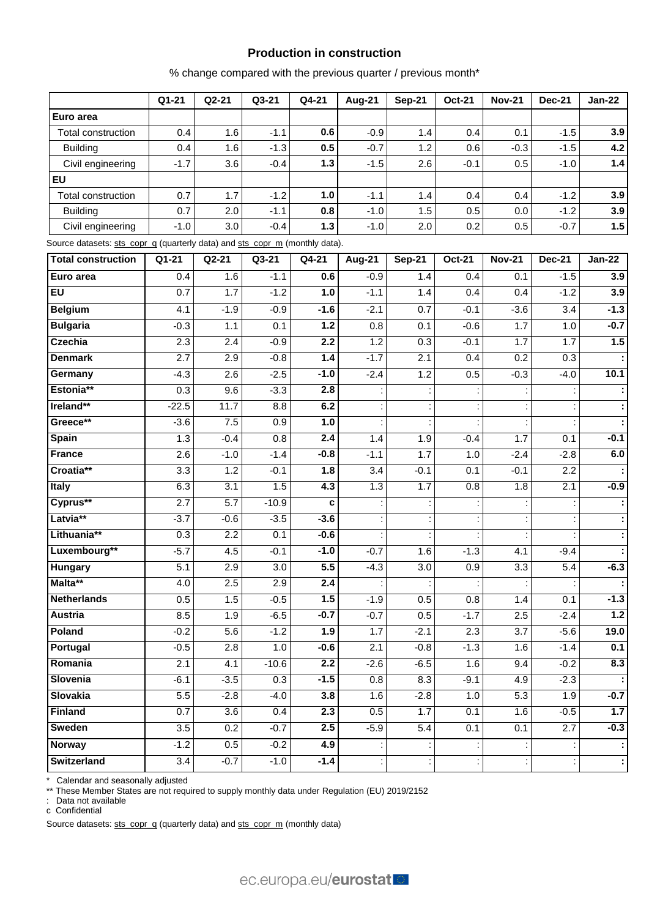#### **Production in construction**

% change compared with the previous quarter / previous month\*

|                                                                             | $Q1 - 21$        | $Q2-21$ | Q3-21   | Q4-21  | <b>Aug-21</b> | <b>Sep-21</b> | <b>Oct-21</b>        | <b>Nov-21</b>    | <b>Dec-21</b>    | <b>Jan-22</b>        |
|-----------------------------------------------------------------------------|------------------|---------|---------|--------|---------------|---------------|----------------------|------------------|------------------|----------------------|
| Euro area                                                                   |                  |         |         |        |               |               |                      |                  |                  |                      |
| Total construction                                                          | 0.4              | 1.6     | $-1.1$  | 0.6    | $-0.9$        | 1.4           | 0.4                  | 0.1              | $-1.5$           | 3.9                  |
| <b>Building</b>                                                             | 0.4              | 1.6     | $-1.3$  | 0.5    | $-0.7$        | 1.2           | 0.6                  | $-0.3$           | $-1.5$           | 4.2                  |
| Civil engineering                                                           | $-1.7$           | 3.6     | $-0.4$  | $1.3$  | $-1.5$        | 2.6           | $-0.1$               | 0.5              | $-1.0$           | 1.4                  |
| EU                                                                          |                  |         |         |        |               |               |                      |                  |                  |                      |
| Total construction                                                          | 0.7              | 1.7     | $-1.2$  | 1.0    | $-1.1$        | 1.4           | 0.4                  | 0.4              | $-1.2$           | 3.9                  |
| <b>Building</b>                                                             | 0.7              | 2.0     | $-1.1$  | 0.8    | $-1.0$        | 1.5           | 0.5                  | 0.0              | $-1.2$           | 3.9                  |
| Civil engineering                                                           | $-1.0$           | 3.0     | $-0.4$  | $1.3$  | $-1.0$        | 2.0           | 0.2                  | 0.5              | $-0.7$           | 1.5                  |
| Source datasets: sts_copr_g (quarterly data) and sts_copr_m (monthly data). |                  |         |         |        |               |               |                      |                  |                  |                      |
| <b>Total construction</b>                                                   | Q1-21            | $Q2-21$ | Q3-21   | Q4-21  | <b>Aug-21</b> | <b>Sep-21</b> | <b>Oct-21</b>        | <b>Nov-21</b>    | <b>Dec-21</b>    | <b>Jan-22</b>        |
| Euro area                                                                   | 0.4              | 1.6     | $-1.1$  | 0.6    | $-0.9$        | 1.4           | 0.4                  | 0.1              | $-1.5$           | 3.9                  |
| EU                                                                          | 0.7              | 1.7     | $-1.2$  | 1.0    | $-1.1$        | 1.4           | 0.4                  | 0.4              | $-1.2$           | 3.9                  |
| <b>Belgium</b>                                                              | 4.1              | $-1.9$  | $-0.9$  | $-1.6$ | $-2.1$        | 0.7           | $-0.1$               | $-3.6$           | 3.4              | $-1.3$               |
| <b>Bulgaria</b>                                                             | $-0.3$           | 1.1     | 0.1     | $1.2$  | 0.8           | 0.1           | $-0.6$               | 1.7              | 1.0              | $-0.7$               |
| <b>Czechia</b>                                                              | 2.3              | 2.4     | $-0.9$  | 2.2    | 1.2           | 0.3           | $-0.1$               | 1.7              | 1.7              | 1.5                  |
| <b>Denmark</b>                                                              | 2.7              | 2.9     | $-0.8$  | 1.4    | $-1.7$        | 2.1           | 0.4                  | 0.2              | 0.3              |                      |
| Germany                                                                     | $-4.3$           | 2.6     | $-2.5$  | $-1.0$ | $-2.4$        | 1.2           | 0.5                  | $-0.3$           | $-4.0$           | 10.1                 |
| Estonia**                                                                   | 0.3              | 9.6     | $-3.3$  | 2.8    |               |               |                      |                  |                  | ÷                    |
| Ireland**                                                                   | $-22.5$          | 11.7    | 8.8     | 6.2    |               |               |                      |                  |                  | $\ddot{\phantom{a}}$ |
| Greece**                                                                    | $-3.6$           | 7.5     | 0.9     | 1.0    |               |               |                      |                  |                  | ÷                    |
| <b>Spain</b>                                                                | 1.3              | $-0.4$  | 0.8     | 2.4    | 1.4           | 1.9           | $-0.4$               | 1.7              | 0.1              | $-0.1$               |
| <b>France</b>                                                               | 2.6              | $-1.0$  | $-1.4$  | $-0.8$ | $-1.1$        | 1.7           | 1.0                  | $-2.4$           | $-2.8$           | 6.0                  |
| Croatia**                                                                   | 3.3              | 1.2     | $-0.1$  | 1.8    | 3.4           | $-0.1$        | 0.1                  | $-0.1$           | 2.2              | ÷                    |
| Italy                                                                       | 6.3              | 3.1     | 1.5     | 4.3    | 1.3           | 7.7           | 0.8                  | 1.8              | 2.1              | $-0.9$               |
| Cyprus**                                                                    | 2.7              | 5.7     | $-10.9$ | c      |               |               |                      |                  |                  | ÷                    |
| Latvia**                                                                    | $-3.7$           | $-0.6$  | $-3.5$  | $-3.6$ |               |               |                      |                  |                  | ł,                   |
| Lithuania**                                                                 | 0.3              | 2.2     | 0.1     | $-0.6$ |               |               | $\cdot$              |                  |                  | $\ddot{\phantom{a}}$ |
| Luxembourg**                                                                | $-5.7$           | 4.5     | $-0.1$  | $-1.0$ | $-0.7$        | 1.6           | $-1.3$               | 4.1              | $-9.4$           | $\ddot{\phantom{a}}$ |
| Hungary                                                                     | 5.1              | 2.9     | 3.0     | 5.5    | $-4.3$        | 3.0           | 0.9                  | $\overline{3.3}$ | 5.4              | $-6.3$               |
| Malta**                                                                     | $\overline{4.0}$ | 2.5     | 2.9     | 2.4    |               |               | $\ddot{\phantom{a}}$ |                  | t,               | $\ddot{\phantom{a}}$ |
| <b>Netherlands</b>                                                          | 0.5              | 1.5     | $-0.5$  | 1.5    | $-1.9$        | 0.5           | 0.8                  | 1.4              | 0.1              | $-1.3$               |
| Austria                                                                     | 8.5              | 1.9     | $-6.5$  | $-0.7$ | $-0.7$        | 0.5           | $-1.7$               | 2.5              | $-2.4$           | $1.2$                |
| Poland                                                                      | $-0.2$           | 5.6     | $-1.2$  | 1.9    | 1.7           | $-2.1$        | 2.3                  | 3.7              | $-5.6$           | 19.0                 |
| Portugal                                                                    | $-0.5$           | 2.8     | 1.0     | $-0.6$ | 2.1           | $-0.8$        | $-1.3$               | 1.6              | $-1.4$           | 0.1                  |
| Romania                                                                     | 2.1              | 4.1     | $-10.6$ | 2.2    | $-2.6$        | $-6.5$        | 1.6                  | 9.4              | $-0.2$           | 8.3                  |
| Slovenia                                                                    | $-6.1$           | $-3.5$  | 0.3     | $-1.5$ | 0.8           | 8.3           | $-9.1$               | 4.9              | $-2.3$           |                      |
| <b>Slovakia</b>                                                             | 5.5              | $-2.8$  | $-4.0$  | 3.8    | 1.6           | $-2.8$        | 1.0                  | 5.3              | 1.9              | $-0.7$               |
| <b>Finland</b>                                                              | 0.7              | 3.6     | 0.4     | 2.3    | 0.5           | 1.7           | 0.1                  | 1.6              | $-0.5$           | 1.7                  |
| <b>Sweden</b>                                                               | $\overline{3.5}$ | 0.2     | $-0.7$  | 2.5    | $-5.9$        | 5.4           | 0.1                  | 0.1              | $\overline{2.7}$ | $-0.3$               |
| Norway                                                                      | $-1.2$           | 0.5     | $-0.2$  | 4.9    |               |               |                      |                  |                  | ÷                    |
| Switzerland                                                                 | 3.4              | $-0.7$  | $-1.0$  | $-1.4$ |               |               |                      |                  | t,               | Ŧ                    |

\* Calendar and seasonally adjusted

\*\* These Member States are not required to supply monthly data under Regulation (EU) 2019/2152

: Data not available

c Confidential

Source datasets: [sts\\_copr\\_q](https://ec.europa.eu/eurostat/databrowser/view/STS_COPR_Q__custom_159929/bookmark/table?lang=en&bookmarkId=e341e590-c198-4444-8353-f19ab8bb8f41) (quarterly data) an[d sts\\_copr\\_m](https://ec.europa.eu/eurostat/databrowser/view/STS_COPR_M__custom_158687/bookmark/table?lang=en&bookmarkId=295e1222-d591-4deb-a780-de6948f4e232) (monthly data)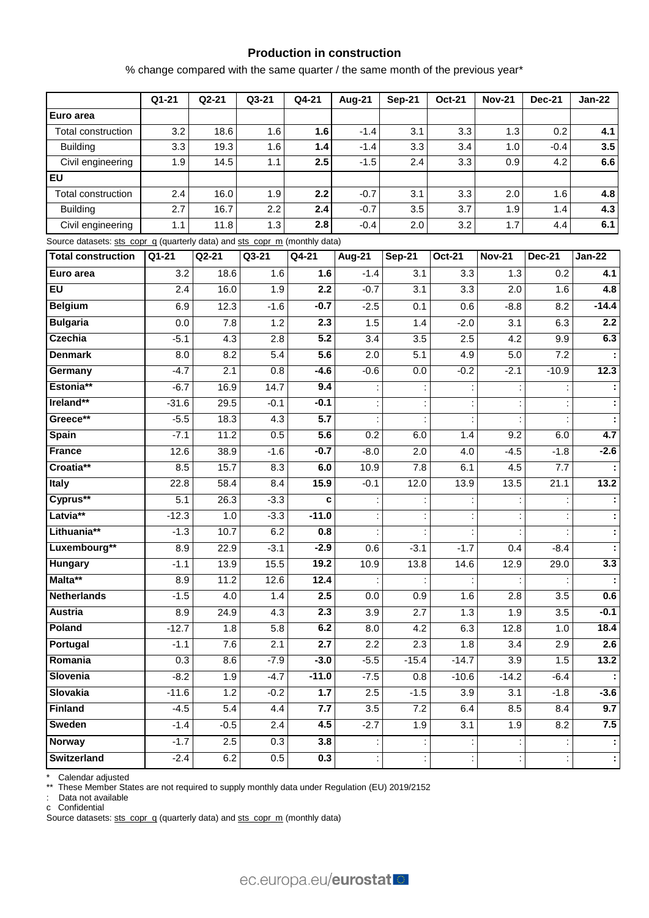#### **Production in construction**

% change compared with the same quarter / the same month of the previous year\*

|                                                                            | Q1-21     | $Q2-21$ | Q3-21            | Q4-21   | <b>Aug-21</b>    | <b>Sep-21</b>        | <b>Oct-21</b>    | <b>Nov-21</b> | <b>Dec-21</b> | <b>Jan-22</b>     |
|----------------------------------------------------------------------------|-----------|---------|------------------|---------|------------------|----------------------|------------------|---------------|---------------|-------------------|
| Euro area                                                                  |           |         |                  |         |                  |                      |                  |               |               |                   |
| Total construction                                                         | 3.2       | 18.6    | 1.6              | 1.6     | $-1.4$           | 3.1                  | 3.3              | 1.3           | 0.2           | 4.1               |
| <b>Building</b>                                                            | 3.3       | 19.3    | 1.6              | 1.4     | $-1.4$           | 3.3                  | 3.4              | 1.0           | $-0.4$        | 3.5               |
| Civil engineering                                                          | 1.9       | 14.5    | 1.1              | 2.5     | $-1.5$           | 2.4                  | 3.3              | 0.9           | 4.2           | 6.6               |
| EU                                                                         |           |         |                  |         |                  |                      |                  |               |               |                   |
| Total construction                                                         | 2.4       | 16.0    | 1.9              | 2.2     | $-0.7$           | 3.1                  | 3.3              | 2.0           | 1.6           | 4.8               |
| <b>Building</b>                                                            | 2.7       | 16.7    | 2.2              | 2.4     | $-0.7$           | 3.5                  | 3.7              | 1.9           | 1.4           | 4.3               |
| Civil engineering                                                          | 1.1       | 11.8    | 1.3              | 2.8     | $-0.4$           | 2.0                  | 3.2              | 1.7           | 4.4           | 6.1               |
| Source datasets: sts_copr_q (quarterly data) and sts_copr_m (monthly data) |           |         |                  |         |                  |                      |                  |               |               |                   |
| <b>Total construction</b>                                                  | $Q1 - 21$ | $Q2-21$ | Q3-21            | Q4-21   | Aug- $21$        | <b>Sep-21</b>        | <b>Oct-21</b>    | <b>Nov-21</b> | <b>Dec-21</b> | <b>Jan-22</b>     |
| Euro area                                                                  | 3.2       | 18.6    | 1.6              | 1.6     | $-1.4$           | 3.1                  | 3.3              | 1.3           | 0.2           | 4.1               |
| <b>EU</b>                                                                  | 2.4       | 16.0    | 1.9              | 2.2     | $-0.7$           | $\overline{3.1}$     | $\overline{3.3}$ | 2.0           | 1.6           | 4.8               |
| <b>Belgium</b>                                                             | 6.9       | 12.3    | $-1.6$           | $-0.7$  | $-2.5$           | 0.1                  | 0.6              | $-8.8$        | 8.2           | $-14.4$           |
| <b>Bulgaria</b>                                                            | 0.0       | 7.8     | 1.2              | 2.3     | 1.5              | 1.4                  | $-2.0$           | 3.1           | 6.3           | 2.2               |
| <b>Czechia</b>                                                             | $-5.1$    | 4.3     | 2.8              | 5.2     | 3.4              | 3.5                  | 2.5              | 4.2           | 9.9           | 6.3               |
| <b>Denmark</b>                                                             | 8.0       | 8.2     | $\overline{5.4}$ | 5.6     | $\overline{2.0}$ | $\overline{5.1}$     | 4.9              | 5.0           | 7.2           |                   |
| Germany                                                                    | $-4.7$    | 2.1     | 0.8              | $-4.6$  | $-0.6$           | 0.0                  | $-0.2$           | $-2.1$        | $-10.9$       | 12.3              |
| Estonia**                                                                  | $-6.7$    | 16.9    | 14.7             | 9.4     |                  |                      |                  |               |               |                   |
| Ireland**                                                                  | $-31.6$   | 29.5    | $-0.1$           | $-0.1$  |                  |                      |                  |               |               |                   |
| Greece**                                                                   | $-5.5$    | 18.3    | 4.3              | 5.7     |                  |                      | $\ddot{\cdot}$   |               |               |                   |
| <b>Spain</b>                                                               | $-7.1$    | 11.2    | 0.5              | 5.6     | 0.2              | 6.0                  | 1.4              | 9.2           | 6.0           | 4.7               |
| <b>France</b>                                                              | 12.6      | 38.9    | $-1.6$           | $-0.7$  | $-8.0$           | 2.0                  | 4.0              | $-4.5$        | $-1.8$        | $-2.6$            |
| Croatia**                                                                  | 8.5       | 15.7    | 8.3              | 6.0     | 10.9             | 7.8                  | 6.1              | 4.5           | 7.7           |                   |
| Italy                                                                      | 22.8      | 58.4    | 8.4              | 15.9    | $-0.1$           | 12.0                 | 13.9             | 13.5          | 21.1          | $\overline{13.2}$ |
| Cyprus**                                                                   | 5.1       | 26.3    | $-3.3$           | C       |                  |                      |                  |               |               |                   |
| Latvia**                                                                   | $-12.3$   | 1.0     | $-3.3$           | $-11.0$ |                  |                      |                  |               |               |                   |
| Lithuania**                                                                | $-1.3$    | 10.7    | 6.2              | 0.8     |                  |                      |                  |               |               |                   |
| Luxembourg**                                                               | 8.9       | 22.9    | $-3.1$           | $-2.9$  | 0.6              | $-3.1$               | $-1.7$           | 0.4           | $-8.4$        |                   |
| Hungary                                                                    | $-1.1$    | 13.9    | 15.5             | 19.2    | 10.9             | 13.8                 | 14.6             | 12.9          | 29.0          | 3.3               |
| Malta**                                                                    | $8.9\,$   | 11.2    | 12.6             | 12.4    |                  | ÷                    |                  |               |               |                   |
| <b>Netherlands</b>                                                         | $-1.5$    | 4.0     | 1.4              | 2.5     | 0.0              | 0.9                  | 1.6              | 2.8           | 3.5           | 0.6               |
| Austria                                                                    | 8.9       | 24.9    | 4.3              | 2.3     | 3.9              | $\overline{2.7}$     | 1.3              | 1.9           | 3.5           | $-0.1$            |
| Poland                                                                     | $-12.7$   | 1.8     | 5.8              | 6.2     | 8.0              | 4.2                  | 6.3              | 12.8          | 1.0           | 18.4              |
| Portugal                                                                   | $-1.1$    | 7.6     | 2.1              | 2.7     | 2.2              | 2.3                  | 1.8              | 3.4           | 2.9           | 2.6               |
| Romania                                                                    | 0.3       | 8.6     | $-7.9$           | $-3.0$  | $-5.5$           | $-15.4$              | $-14.7$          | 3.9           | 1.5           | 13.2              |
| Slovenia                                                                   | $-8.2$    | 1.9     | $-4.7$           | $-11.0$ | $-7.5$           | 0.8                  | $-10.6$          | $-14.2$       | $-6.4$        |                   |
| Slovakia                                                                   | $-11.6$   | 1.2     | $-0.2$           | $1.7$   | 2.5              | $-1.5$               | 3.9              | 3.1           | $-1.8$        | $-3.6$            |
| Finland                                                                    | $-4.5$    | 5.4     | 4.4              | 7.7     | 3.5              | 7.2                  | 6.4              | 8.5           | 8.4           | 9.7               |
| <b>Sweden</b>                                                              | $-1.4$    | $-0.5$  | 2.4              | 4.5     | $-2.7$           | 1.9                  | 3.1              | 1.9           | 8.2           | 7.5               |
| Norway                                                                     | $-1.7$    | 2.5     | 0.3              | 3.8     |                  | $\ddot{\phantom{a}}$ | ÷,               |               |               |                   |
| <b>Switzerland</b>                                                         | $-2.4$    | 6.2     | $0.5\,$          | 0.3     |                  |                      | t,               |               |               |                   |

\* Calendar adjusted

\*\* These Member States are not required to supply monthly data under Regulation (EU) 2019/2152

: Data not available

c Confidential

Source datasets: [sts\\_copr\\_q](https://ec.europa.eu/eurostat/databrowser/view/STS_COPR_Q__custom_158599/bookmark/table?lang=en&bookmarkId=40b979a7-689f-4ab3-a86c-21e29a8d5a83) (quarterly data) an[d sts\\_copr\\_m](https://ec.europa.eu/eurostat/databrowser/view/STS_COPR_M__custom_158723/bookmark/table?lang=en&bookmarkId=c10d2eac-0470-4449-a3e2-2b04fd75a8f1) (monthly data)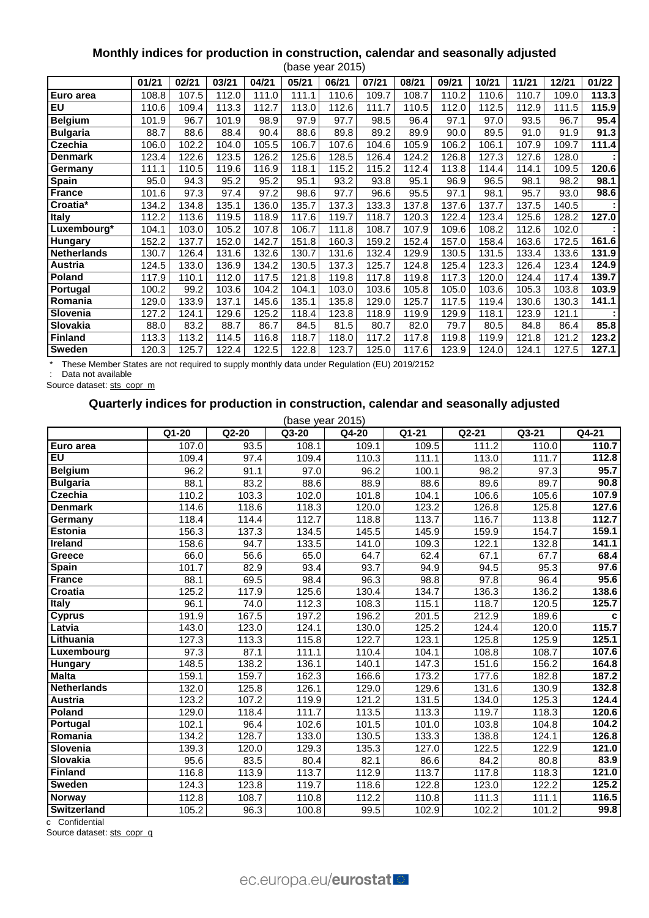#### **Monthly indices for production in construction, calendar and seasonally adjusted** (base year 2015)

|                    | 01/21 | 02/21 | 03/21 | 04/21 | 05/21 | 06/21 | 07/21 | 08/21 | 09/21 | 10/21 | 11/21 | 12/21 | 01/22 |
|--------------------|-------|-------|-------|-------|-------|-------|-------|-------|-------|-------|-------|-------|-------|
| Euro area          | 108.8 | 107.5 | 112.0 | 111.0 | 111.1 | 110.6 | 109.7 | 108.7 | 110.2 | 110.6 | 110.7 | 109.0 | 113.3 |
| <b>EU</b>          | 110.6 | 109.4 | 113.3 | 112.7 | 113.0 | 112.6 | 111.7 | 110.5 | 112.0 | 112.5 | 112.9 | 111.5 | 115.9 |
| <b>Belgium</b>     | 101.9 | 96.7  | 101.9 | 98.9  | 97.9  | 97.7  | 98.5  | 96.4  | 97.1  | 97.0  | 93.5  | 96.7  | 95.4  |
| <b>Bulgaria</b>    | 88.7  | 88.6  | 88.4  | 90.4  | 88.6  | 89.8  | 89.2  | 89.9  | 90.0  | 89.5  | 91.0  | 91.9  | 91.3  |
| Czechia            | 106.0 | 102.2 | 104.0 | 105.5 | 106.7 | 107.6 | 104.6 | 105.9 | 106.2 | 106.1 | 107.9 | 109.7 | 111.4 |
| <b>Denmark</b>     | 123.4 | 122.6 | 123.5 | 126.2 | 125.6 | 128.5 | 126.4 | 124.2 | 126.8 | 127.3 | 127.6 | 128.0 |       |
| Germany            | 111.1 | 110.5 | 119.6 | 116.9 | 118.1 | 115.2 | 115.2 | 112.4 | 113.8 | 114.4 | 114.1 | 109.5 | 120.6 |
| <b>Spain</b>       | 95.0  | 94.3  | 95.2  | 95.2  | 95.1  | 93.2  | 93.8  | 95.1  | 96.9  | 96.5  | 98.1  | 98.2  | 98.1  |
| <b>France</b>      | 101.6 | 97.3  | 97.4  | 97.2  | 98.6  | 97.7  | 96.6  | 95.5  | 97.1  | 98.1  | 95.7  | 93.0  | 98.6  |
| Croatia*           | 134.2 | 134.8 | 135.1 | 136.0 | 135.7 | 137.3 | 133.3 | 137.8 | 137.6 | 137.7 | 137.5 | 140.5 |       |
| <b>Italy</b>       | 112.2 | 113.6 | 119.5 | 118.9 | 117.6 | 119.7 | 118.7 | 120.3 | 122.4 | 123.4 | 125.6 | 128.2 | 127.0 |
| Luxembourg*        | 104.1 | 103.0 | 105.2 | 107.8 | 106.7 | 111.8 | 108.7 | 107.9 | 109.6 | 108.2 | 112.6 | 102.0 |       |
| <b>Hungary</b>     | 152.2 | 137.7 | 152.0 | 142.7 | 151.8 | 160.3 | 159.2 | 152.4 | 157.0 | 158.4 | 163.6 | 172.5 | 161.6 |
| <b>Netherlands</b> | 130.7 | 126.4 | 131.6 | 132.6 | 130.7 | 131.6 | 132.4 | 129.9 | 130.5 | 131.5 | 133.4 | 133.6 | 131.9 |
| Austria            | 124.5 | 133.0 | 136.9 | 134.2 | 130.5 | 137.3 | 125.7 | 124.8 | 125.4 | 123.3 | 126.4 | 123.4 | 124.9 |
| <b>Poland</b>      | 117.9 | 110.1 | 112.0 | 117.5 | 121.8 | 119.8 | 117.8 | 119.8 | 117.3 | 120.0 | 124.4 | 117.4 | 139.7 |
| Portugal           | 100.2 | 99.2  | 103.6 | 104.2 | 104.1 | 103.0 | 103.6 | 105.8 | 105.0 | 103.6 | 105.3 | 103.8 | 103.9 |
| Romania            | 129.0 | 133.9 | 137.1 | 145.6 | 135.1 | 135.8 | 129.0 | 125.7 | 117.5 | 119.4 | 130.6 | 130.3 | 141.1 |
| Slovenia           | 127.2 | 124.1 | 129.6 | 125.2 | 118.4 | 123.8 | 118.9 | 119.9 | 129.9 | 118.1 | 123.9 | 121.1 |       |
| Slovakia           | 88.0  | 83.2  | 88.7  | 86.7  | 84.5  | 81.5  | 80.7  | 82.0  | 79.7  | 80.5  | 84.8  | 86.4  | 85.8  |
| Finland            | 113.3 | 113.2 | 114.5 | 116.8 | 118.7 | 118.0 | 117.2 | 117.8 | 119.8 | 119.9 | 121.8 | 121.2 | 123.2 |
| <b>Sweden</b>      | 120.3 | 125.7 | 122.4 | 122.5 | 122.8 | 123.7 | 125.0 | 117.6 | 123.9 | 124.0 | 124.1 | 127.5 | 127.1 |

\* These Member States are not required to supply monthly data under Regulation (EU) 2019/2152

: Data not available

Source dataset: [sts\\_copr\\_m](https://ec.europa.eu/eurostat/databrowser/view/STS_COPR_M__custom_158737/bookmark/table?lang=en&bookmarkId=cea89800-e18a-4ff7-a563-ab7cf607c64e)

# **Quarterly indices for production in construction, calendar and seasonally adjusted**

| ase vear 2015). |  |
|-----------------|--|

|                    |       |       | (base year 2015) |       |       |         |       |       |
|--------------------|-------|-------|------------------|-------|-------|---------|-------|-------|
|                    | Q1-20 | Q2-20 | Q3-20            | Q4-20 | Q1-21 | $Q2-21$ | Q3-21 | Q4-21 |
| Euro area          | 107.0 | 93.5  | 108.1            | 109.1 | 109.5 | 111.2   | 110.0 | 110.7 |
| <b>EU</b>          | 109.4 | 97.4  | 109.4            | 110.3 | 111.1 | 113.0   | 111.7 | 112.8 |
| <b>Belgium</b>     | 96.2  | 91.1  | 97.0             | 96.2  | 100.1 | 98.2    | 97.3  | 95.7  |
| <b>Bulgaria</b>    | 88.1  | 83.2  | 88.6             | 88.9  | 88.6  | 89.6    | 89.7  | 90.8  |
| <b>Czechia</b>     | 110.2 | 103.3 | 102.0            | 101.8 | 104.1 | 106.6   | 105.6 | 107.9 |
| <b>Denmark</b>     | 114.6 | 118.6 | 118.3            | 120.0 | 123.2 | 126.8   | 125.8 | 127.6 |
| Germany            | 118.4 | 114.4 | 112.7            | 118.8 | 113.7 | 116.7   | 113.8 | 112.7 |
| <b>Estonia</b>     | 156.3 | 137.3 | 134.5            | 145.5 | 145.9 | 159.9   | 154.7 | 159.1 |
| Ireland            | 158.6 | 94.7  | 133.5            | 141.0 | 109.3 | 122.1   | 132.8 | 141.1 |
| Greece             | 66.0  | 56.6  | 65.0             | 64.7  | 62.4  | 67.1    | 67.7  | 68.4  |
| Spain              | 101.7 | 82.9  | 93.4             | 93.7  | 94.9  | 94.5    | 95.3  | 97.6  |
| <b>France</b>      | 88.1  | 69.5  | 98.4             | 96.3  | 98.8  | 97.8    | 96.4  | 95.6  |
| Croatia            | 125.2 | 117.9 | 125.6            | 130.4 | 134.7 | 136.3   | 136.2 | 138.6 |
| <b>Italy</b>       | 96.1  | 74.0  | 112.3            | 108.3 | 115.1 | 118.7   | 120.5 | 125.7 |
| <b>Cyprus</b>      | 191.9 | 167.5 | 197.2            | 196.2 | 201.5 | 212.9   | 189.6 | c     |
| Latvia             | 143.0 | 123.0 | 124.1            | 130.0 | 125.2 | 124.4   | 120.0 | 115.7 |
| Lithuania          | 127.3 | 113.3 | 115.8            | 122.7 | 123.1 | 125.8   | 125.9 | 125.1 |
| Luxembourg         | 97.3  | 87.1  | 111.1            | 110.4 | 104.1 | 108.8   | 108.7 | 107.6 |
| Hungary            | 148.5 | 138.2 | 136.1            | 140.1 | 147.3 | 151.6   | 156.2 | 164.8 |
| <b>Malta</b>       | 159.1 | 159.7 | 162.3            | 166.6 | 173.2 | 177.6   | 182.8 | 187.2 |
| <b>Netherlands</b> | 132.0 | 125.8 | 126.1            | 129.0 | 129.6 | 131.6   | 130.9 | 132.8 |
| <b>Austria</b>     | 123.2 | 107.2 | 119.9            | 121.2 | 131.5 | 134.0   | 125.3 | 124.4 |
| Poland             | 129.0 | 118.4 | 111.7            | 113.5 | 113.3 | 119.7   | 118.3 | 120.6 |
| Portugal           | 102.1 | 96.4  | 102.6            | 101.5 | 101.0 | 103.8   | 104.8 | 104.2 |
| Romania            | 134.2 | 128.7 | 133.0            | 130.5 | 133.3 | 138.8   | 124.1 | 126.8 |
| Slovenia           | 139.3 | 120.0 | 129.3            | 135.3 | 127.0 | 122.5   | 122.9 | 121.0 |
| Slovakia           | 95.6  | 83.5  | 80.4             | 82.1  | 86.6  | 84.2    | 80.8  | 83.9  |
| <b>Finland</b>     | 116.8 | 113.9 | 113.7            | 112.9 | 113.7 | 117.8   | 118.3 | 121.0 |
| Sweden             | 124.3 | 123.8 | 119.7            | 118.6 | 122.8 | 123.0   | 122.2 | 125.2 |
| Norway             | 112.8 | 108.7 | 110.8            | 112.2 | 110.8 | 111.3   | 111.1 | 116.5 |
| Switzerland        | 105.2 | 96.3  | 100.8            | 99.5  | 102.9 | 102.2   | 101.2 | 99.8  |

c Confidential

Source dataset: [sts\\_copr\\_q](https://ec.europa.eu/eurostat/databrowser/view/STS_COPR_Q__custom_158616/bookmark/table?lang=en&bookmarkId=fc37607c-7b6a-4d9f-9304-5d84be8df31f)